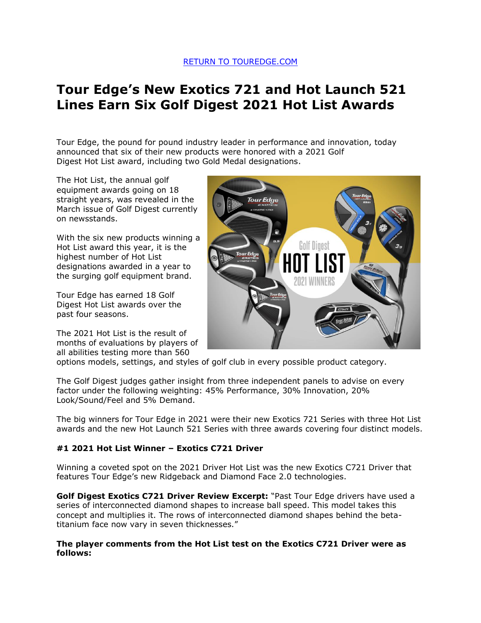# **Tour Edge's New Exotics 721 and Hot Launch 521 Lines Earn Six Golf Digest 2021 Hot List Awards**

Tour Edge, the pound for pound industry leader in performance and innovation, today announced that six of their new products were honored with a 2021 Golf Digest Hot List award, including two Gold Medal designations.

The Hot List, the annual golf equipment awards going on 18 straight years, was revealed in the March issue of Golf Digest currently on newsstands.

With the six new products winning a Hot List award this year, it is the highest number of Hot List designations awarded in a year to the surging golf equipment brand.

Tour Edge has earned 18 Golf Digest Hot List awards over the past four seasons.

The 2021 Hot List is the result of months of evaluations by players of all abilities testing more than 560



options models, settings, and styles of golf club in every possible product category.

The Golf Digest judges gather insight from three independent panels to advise on every factor under the following weighting: 45% Performance, 30% Innovation, 20% Look/Sound/Feel and 5% Demand.

The big winners for Tour Edge in 2021 were their new Exotics 721 Series with three Hot List awards and the new Hot Launch 521 Series with three awards covering four distinct models.

## **#1 2021 Hot List Winner – Exotics C721 Driver**

Winning a coveted spot on the 2021 Driver Hot List was the new Exotics C721 Driver that features Tour Edge's new Ridgeback and Diamond Face 2.0 technologies.

**Golf Digest Exotics C721 Driver Review Excerpt:** "Past Tour Edge drivers have used a series of interconnected diamond shapes to increase ball speed. This model takes this concept and multiplies it. The rows of interconnected diamond shapes behind the betatitanium face now vary in seven thicknesses."

#### **The player comments from the Hot List test on the Exotics C721 Driver were as follows:**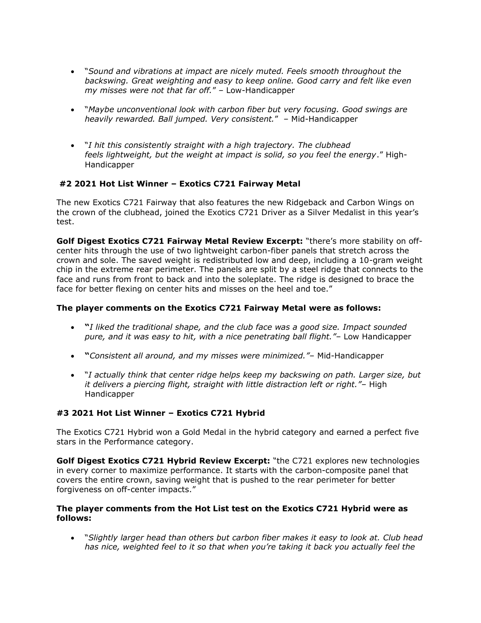- "*Sound and vibrations at impact are nicely muted. Feels smooth throughout the backswing. Great weighting and easy to keep online. Good carry and felt like even my misses were not that far off.*" – Low-Handicapper
- "*Maybe unconventional look with carbon fiber but very focusing. Good swings are heavily rewarded. Ball jumped. Very consistent.*" – Mid-Handicapper
- "*I hit this consistently straight with a high trajectory. The clubhead feels lightweight, but the weight at impact is solid, so you feel the energy*." High-Handicapper

# **#2 2021 Hot List Winner – Exotics C721 Fairway Metal**

The new Exotics C721 Fairway that also features the new Ridgeback and Carbon Wings on the crown of the clubhead, joined the Exotics C721 Driver as a Silver Medalist in this year's test.

**Golf Digest Exotics C721 Fairway Metal Review Excerpt:** "there's more stability on offcenter hits through the use of two lightweight carbon-fiber panels that stretch across the crown and sole. The saved weight is redistributed low and deep, including a 10-gram weight chip in the extreme rear perimeter. The panels are split by a steel ridge that connects to the face and runs from front to back and into the soleplate. The ridge is designed to brace the face for better flexing on center hits and misses on the heel and toe."

## **The player comments on the Exotics C721 Fairway Metal were as follows:**

- **"***I liked the traditional shape, and the club face was a good size. Impact sounded pure, and it was easy to hit, with a nice penetrating ball flight."*– Low Handicapper
- **"***Consistent all around, and my misses were minimized."* Mid-Handicapper
- "*I actually think that center ridge helps keep my backswing on path. Larger size, but it delivers a piercing flight, straight with little distraction left or right."*– High Handicapper

# **#3 2021 Hot List Winner – Exotics C721 Hybrid**

The Exotics C721 Hybrid won a Gold Medal in the hybrid category and earned a perfect five stars in the Performance category.

**Golf Digest Exotics C721 Hybrid Review Excerpt:** "the C721 explores new technologies in every corner to maximize performance. It starts with the carbon-composite panel that covers the entire crown, saving weight that is pushed to the rear perimeter for better forgiveness on off-center impacts."

## **The player comments from the Hot List test on the Exotics C721 Hybrid were as follows:**

• "*Slightly larger head than others but carbon fiber makes it easy to look at. Club head has nice, weighted feel to it so that when you're taking it back you actually feel the*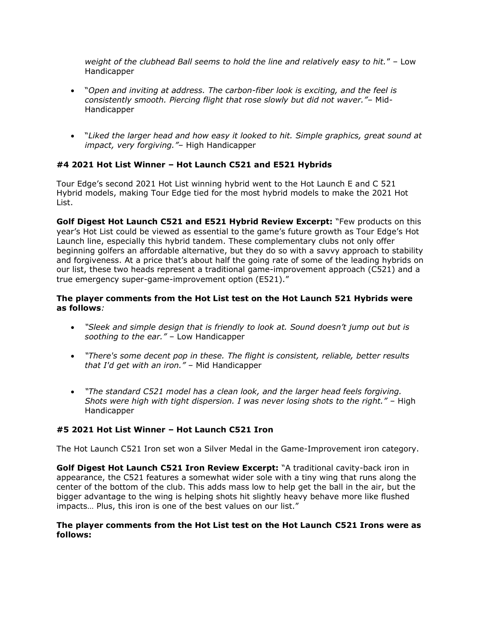*weight of the clubhead Ball seems to hold the line and relatively easy to hit.*" – Low Handicapper

- "*Open and inviting at address. The carbon-fiber look is exciting, and the feel is consistently smooth. Piercing flight that rose slowly but did not waver."*– Mid-Handicapper
- "*Liked the larger head and how easy it looked to hit. Simple graphics, great sound at impact, very forgiving."*– High Handicapper

# **#4 2021 Hot List Winner – Hot Launch C521 and E521 Hybrids**

Tour Edge's second 2021 Hot List winning hybrid went to the Hot Launch E and C 521 Hybrid models, making Tour Edge tied for the most hybrid models to make the 2021 Hot List.

**Golf Digest Hot Launch C521 and E521 Hybrid Review Excerpt:** "Few products on this year's Hot List could be viewed as essential to the game's future growth as Tour Edge's Hot Launch line, especially this hybrid tandem. These complementary clubs not only offer beginning golfers an affordable alternative, but they do so with a savvy approach to stability and forgiveness. At a price that's about half the going rate of some of the leading hybrids on our list, these two heads represent a traditional game-improvement approach (C521) and a true emergency super-game-improvement option (E521)."

## **The player comments from the Hot List test on the Hot Launch 521 Hybrids were as follows***:*

- *"Sleek and simple design that is friendly to look at. Sound doesn't jump out but is soothing to the ear."* – Low Handicapper
- *"There's some decent pop in these. The flight is consistent, reliable, better results that I'd get with an iron."* – Mid Handicapper
- *"The standard C521 model has a clean look, and the larger head feels forgiving. Shots were high with tight dispersion. I was never losing shots to the right."* – High Handicapper

## **#5 2021 Hot List Winner – Hot Launch C521 Iron**

The Hot Launch C521 Iron set won a Silver Medal in the Game-Improvement iron category.

**Golf Digest Hot Launch C521 Iron Review Excerpt:** "A traditional cavity-back iron in appearance, the C521 features a somewhat wider sole with a tiny wing that runs along the center of the bottom of the club. This adds mass low to help get the ball in the air, but the bigger advantage to the wing is helping shots hit slightly heavy behave more like flushed impacts… Plus, this iron is one of the best values on our list."

#### **The player comments from the Hot List test on the Hot Launch C521 Irons were as follows:**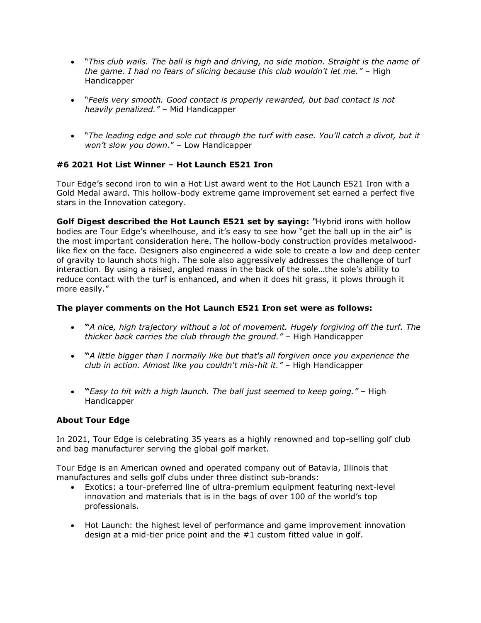- "*This club wails. The ball is high and driving, no side motion. Straight is the name of the game. I had no fears of slicing because this club wouldn't let me."* – High Handicapper
- "*Feels very smooth. Good contact is properly rewarded, but bad contact is not heavily penalized."* – Mid Handicapper
- "*The leading edge and sole cut through the turf with ease. You'll catch a divot, but it won't slow you down*." – Low Handicapper

# **#6 2021 Hot List Winner – Hot Launch E521 Iron**

Tour Edge's second iron to win a Hot List award went to the Hot Launch E521 Iron with a Gold Medal award. This hollow-body extreme game improvement set earned a perfect five stars in the Innovation category.

**Golf Digest described the Hot Launch E521 set by saying:** *"*Hybrid irons with hollow bodies are Tour Edge's wheelhouse, and it's easy to see how "get the ball up in the air" is the most important consideration here. The hollow-body construction provides metalwoodlike flex on the face. Designers also engineered a wide sole to create a low and deep center of gravity to launch shots high. The sole also aggressively addresses the challenge of turf interaction. By using a raised, angled mass in the back of the sole…the sole's ability to reduce contact with the turf is enhanced, and when it does hit grass, it plows through it more easily."

#### **The player comments on the Hot Launch E521 Iron set were as follows:**

- **"***A nice, high trajectory without a lot of movement. Hugely forgiving off the turf. The thicker back carries the club through the ground."* – High Handicapper
- **"***A little bigger than I normally like but that's all forgiven once you experience the club in action. Almost like you couldn't mis-hit it."* – High Handicapper
- **"***Easy to hit with a high launch. The ball just seemed to keep going."* High Handicapper

## **About Tour Edge**

In 2021, Tour Edge is celebrating 35 years as a highly renowned and top-selling golf club and bag manufacturer serving the global golf market.

Tour Edge is an American owned and operated company out of Batavia, Illinois that manufactures and sells golf clubs under three distinct sub-brands:

- Exotics: a tour-preferred line of ultra-premium equipment featuring next-level innovation and materials that is in the bags of over 100 of the world's top professionals.
- Hot Launch: the highest level of performance and game improvement innovation design at a mid-tier price point and the #1 custom fitted value in golf.